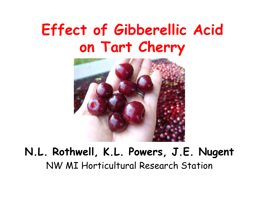## Effect of Gibberellic Acid on Tart Cherry



#### N.L. Rothwell, K.L. Powers, J.E. NugentNW MI Horticultural Research Station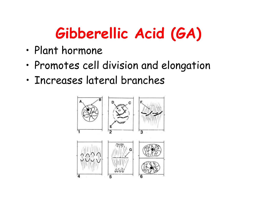# Gibberellic Acid (GA)

- •Plant hormone
- •• Promotes cell division and elongation
- •Increases lateral branches

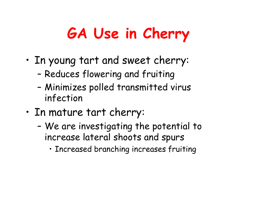# GA Use in Cherry

- • In young tart and sweet cherry:
	- –Reduces flowering and fruiting
	- – Minimizes polled transmitted virus infection
- • In mature tart cherry:
	- –We are investigating the potential to increase lateral shoots and spurs
		- Increased branching increases fruiting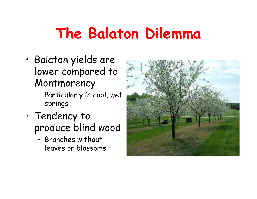# The Balaton Dilemma

- • Balaton yields are lower compared to Montmorency
	- – Particularly in cool, wet springs
- • Tendency to produce blind wood
	- – Branches without leaves or blossoms

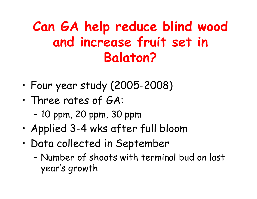#### Can GA help reduce blind wood and increase fruit set in Balaton?

- •Four year study (2005-2008)
- • Three rates of GA:
	- –10 ppm, 20 ppm, 30 ppm
- •Applied 3-4 wks after full bloom
- • Data collected in September
	- – Number of shoots with terminal bud on last year's growth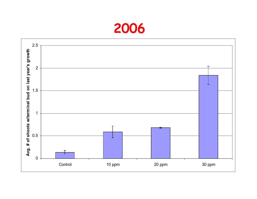#### 2006

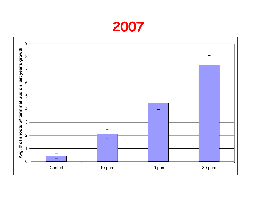#### 

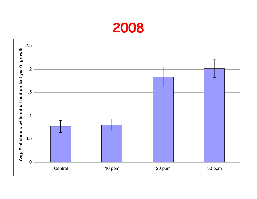#### 2008

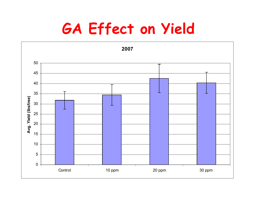## GA Effect on Yield

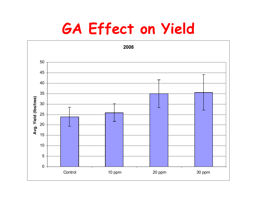## GA Effect on Yield

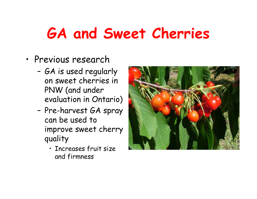# GA and Sweet Cherries

- • Previous research
	- – GA is used regularly on sweet cherries in PNW (and under evaluation in Ontario)
	- – Pre-harvest GA spray can be used to improve sweet cherry quality
		- Increases fruit size and firmness

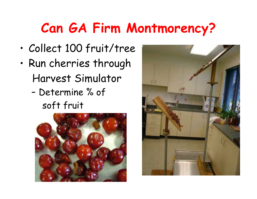## Can GA Firm Montmorency?

- •Collect 100 fruit/tree
- • Run cherries through Harvest Simulator
	- – Determine % of soft fruit



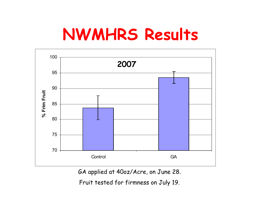# NWMHRS Results



GA applied at 40oz/Acre, on June 28.

Fruit tested for firmness on July 19.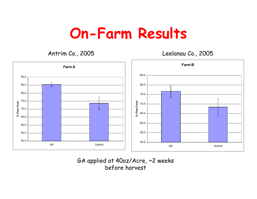### On-Farm Results

Antrim Co., 2005

Leelanau Co., 2005



#### GA applied at 40oz/Acre, ~2 weeks before harvest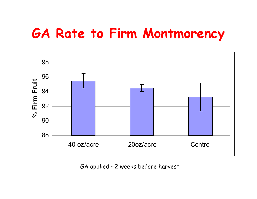#### GA Rate to Firm Montmorency



GA applied ~2 weeks before harvest